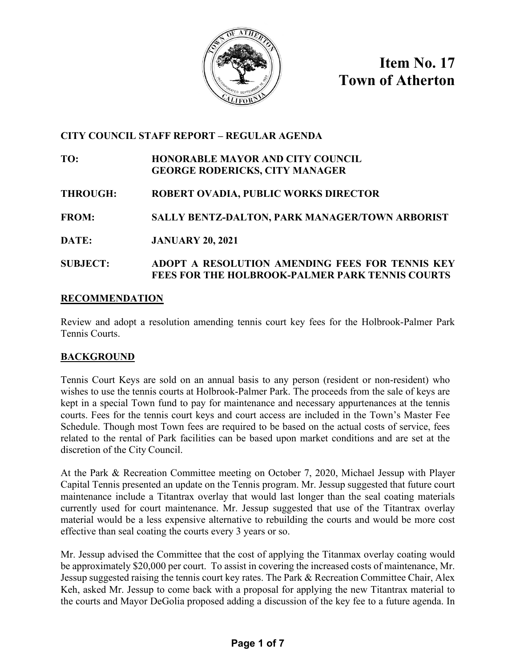

**Item No. 17 Town of Atherton**

## **CITY COUNCIL STAFF REPORT – REGULAR AGENDA**

**TO: HONORABLE MAYOR AND CITY COUNCIL GEORGE RODERICKS, CITY MANAGER**

- **THROUGH: ROBERT OVADIA, PUBLIC WORKS DIRECTOR**
- **FROM: SALLY BENTZ-DALTON, PARK MANAGER/TOWN ARBORIST**
- **DATE: JANUARY 20, 2021**

### **SUBJECT: ADOPT A RESOLUTION AMENDING FEES FOR TENNIS KEY FEES FOR THE HOLBROOK-PALMER PARK TENNIS COURTS**

### **RECOMMENDATION**

Review and adopt a resolution amending tennis court key fees for the Holbrook-Palmer Park Tennis Courts.

### **BACKGROUND**

Tennis Court Keys are sold on an annual basis to any person (resident or non-resident) who wishes to use the tennis courts at Holbrook-Palmer Park. The proceeds from the sale of keys are kept in a special Town fund to pay for maintenance and necessary appurtenances at the tennis courts. Fees for the tennis court keys and court access are included in the Town's Master Fee Schedule. Though most Town fees are required to be based on the actual costs of service, fees related to the rental of Park facilities can be based upon market conditions and are set at the discretion of the City Council.

At the Park & Recreation Committee meeting on October 7, 2020, Michael Jessup with Player Capital Tennis presented an update on the Tennis program. Mr. Jessup suggested that future court maintenance include a Titantrax overlay that would last longer than the seal coating materials currently used for court maintenance. Mr. Jessup suggested that use of the Titantrax overlay material would be a less expensive alternative to rebuilding the courts and would be more cost effective than seal coating the courts every 3 years or so.

Mr. Jessup advised the Committee that the cost of applying the Titanmax overlay coating would be approximately \$20,000 per court. To assist in covering the increased costs of maintenance, Mr. Jessup suggested raising the tennis court key rates. The Park & Recreation Committee Chair, Alex Keh, asked Mr. Jessup to come back with a proposal for applying the new Titantrax material to the courts and Mayor DeGolia proposed adding a discussion of the key fee to a future agenda. In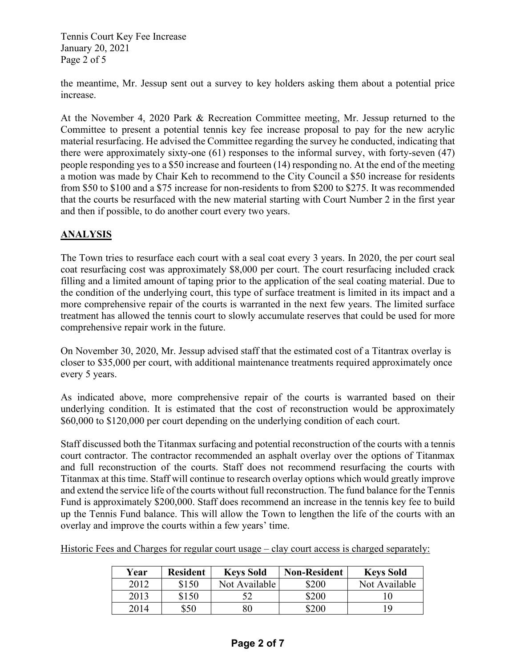Tennis Court Key Fee Increase January 20, 2021 Page 2 of 5

the meantime, Mr. Jessup sent out a survey to key holders asking them about a potential price increase.

At the November 4, 2020 Park & Recreation Committee meeting, Mr. Jessup returned to the Committee to present a potential tennis key fee increase proposal to pay for the new acrylic material resurfacing. He advised the Committee regarding the survey he conducted, indicating that there were approximately sixty-one (61) responses to the informal survey, with forty-seven (47) people responding yes to a \$50 increase and fourteen (14) responding no. At the end of the meeting a motion was made by Chair Keh to recommend to the City Council a \$50 increase for residents from \$50 to \$100 and a \$75 increase for non-residents to from \$200 to \$275. It was recommended that the courts be resurfaced with the new material starting with Court Number 2 in the first year and then if possible, to do another court every two years.

## **ANALYSIS**

The Town tries to resurface each court with a seal coat every 3 years. In 2020, the per court seal coat resurfacing cost was approximately \$8,000 per court. The court resurfacing included crack filling and a limited amount of taping prior to the application of the seal coating material. Due to the condition of the underlying court, this type of surface treatment is limited in its impact and a more comprehensive repair of the courts is warranted in the next few years. The limited surface treatment has allowed the tennis court to slowly accumulate reserves that could be used for more comprehensive repair work in the future.

On November 30, 2020, Mr. Jessup advised staff that the estimated cost of a Titantrax overlay is closer to \$35,000 per court, with additional maintenance treatments required approximately once every 5 years.

As indicated above, more comprehensive repair of the courts is warranted based on their underlying condition. It is estimated that the cost of reconstruction would be approximately \$60,000 to \$120,000 per court depending on the underlying condition of each court.

Staff discussed both the Titanmax surfacing and potential reconstruction of the courts with a tennis court contractor. The contractor recommended an asphalt overlay over the options of Titanmax and full reconstruction of the courts. Staff does not recommend resurfacing the courts with Titanmax at this time. Staff will continue to research overlay options which would greatly improve and extend the service life of the courts without full reconstruction. The fund balance for the Tennis Fund is approximately \$200,000. Staff does recommend an increase in the tennis key fee to build up the Tennis Fund balance. This will allow the Town to lengthen the life of the courts with an overlay and improve the courts within a few years' time.

|  | Historic Fees and Charges for regular court usage – clay court access is charged separately: |  |
|--|----------------------------------------------------------------------------------------------|--|
|  |                                                                                              |  |

| Year | <b>Resident</b> | <b>Keys Sold</b> | <b>Non-Resident</b> | <b>Keys Sold</b> |
|------|-----------------|------------------|---------------------|------------------|
| 2012 | \$150           | Not Available    | \$200               | Not Available    |
| 2013 | \$150           |                  | \$200               |                  |
| 2014 | \$50            | 80               | \$200               | 19               |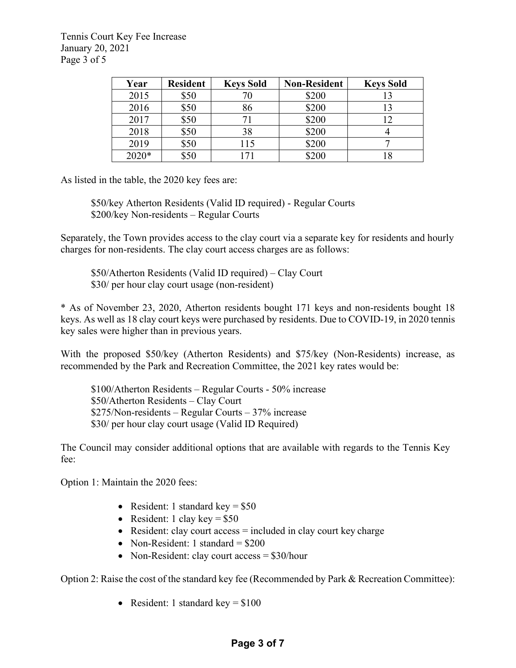Tennis Court Key Fee Increase January 20, 2021 Page 3 of 5

| Year  | <b>Resident</b> | <b>Keys Sold</b> | <b>Non-Resident</b> | <b>Keys Sold</b> |
|-------|-----------------|------------------|---------------------|------------------|
| 2015  | \$50            | 70               | \$200               |                  |
| 2016  | \$50            | 86               | \$200               |                  |
| 2017  | \$50            | 7)               | \$200               |                  |
| 2018  | \$50            | 38               | \$200               |                  |
| 2019  | \$50            | 115              | \$200               |                  |
| 2020* | \$50            | 71               | \$200               |                  |

As listed in the table, the 2020 key fees are:

\$50/key Atherton Residents (Valid ID required) - Regular Courts \$200/key Non-residents – Regular Courts

Separately, the Town provides access to the clay court via a separate key for residents and hourly charges for non-residents. The clay court access charges are as follows:

\$50/Atherton Residents (Valid ID required) – Clay Court \$30/ per hour clay court usage (non-resident)

\* As of November 23, 2020, Atherton residents bought 171 keys and non-residents bought 18 keys. As well as 18 clay court keys were purchased by residents. Due to COVID-19, in 2020 tennis key sales were higher than in previous years.

With the proposed \$50/key (Atherton Residents) and \$75/key (Non-Residents) increase, as recommended by the Park and Recreation Committee, the 2021 key rates would be:

\$100/Atherton Residents – Regular Courts - 50% increase \$50/Atherton Residents – Clay Court \$275/Non-residents – Regular Courts – 37% increase \$30/ per hour clay court usage (Valid ID Required)

The Council may consider additional options that are available with regards to the Tennis Key fee:

Option 1: Maintain the 2020 fees:

- Resident: 1 standard key  $= $50$
- Resident: 1 clay key =  $$50$
- Resident: clay court access = included in clay court key charge
- Non-Resident: 1 standard  $= $200$
- Non-Resident: clay court access = \$30/hour

Option 2: Raise the cost of the standard key fee (Recommended by Park & Recreation Committee):

• Resident: 1 standard key  $= $100$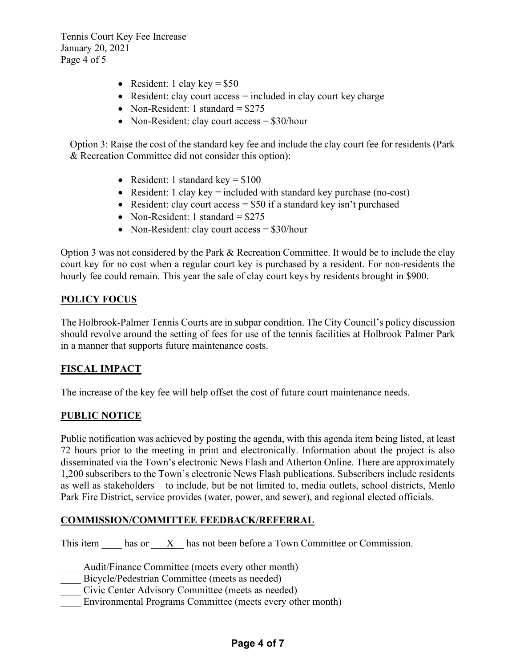Tennis Court Key Fee Increase January 20, 2021 Page 4 of 5

- Resident: 1 clay key  $= $50$
- Resident: clay court  $access = included$  in clay court key charge
- Non-Resident: 1 standard  $= $275$
- Non-Resident: clay court access = \$30/hour

Option 3: Raise the cost of the standard key fee and include the clay court fee for residents (Park & Recreation Committee did not consider this option):

- Resident: 1 standard key  $= $100$
- Resident: 1 clay key = included with standard key purchase (no-cost)
- Resident: clay court  $access = $50$  if a standard key isn't purchased
- Non-Resident: 1 standard  $= $275$
- Non-Resident: clay court access = \$30/hour

Option 3 was not considered by the Park & Recreation Committee. It would be to include the clay court key for no cost when a regular court key is purchased by a resident. For non-residents the hourly fee could remain. This year the sale of clay court keys by residents brought in \$900.

### **POLICY FOCUS**

The Holbrook-Palmer Tennis Courts are in subpar condition. The City Council's policy discussion should revolve around the setting of fees for use of the tennis facilities at Holbrook Palmer Park in a manner that supports future maintenance costs.

### **FISCAL IMPACT**

The increase of the key fee will help offset the cost of future court maintenance needs.

#### **PUBLIC NOTICE**

Public notification was achieved by posting the agenda, with this agenda item being listed, at least 72 hours prior to the meeting in print and electronically. Information about the project is also disseminated via the Town's electronic News Flash and Atherton Online. There are approximately 1,200 subscribers to the Town's electronic News Flash publications. Subscribers include residents as well as stakeholders – to include, but be not limited to, media outlets, school districts, Menlo Park Fire District, service provides (water, power, and sewer), and regional elected officials.

#### **COMMISSION/COMMITTEE FEEDBACK/REFERRAL**

This item has or X has not been before a Town Committee or Commission.

Audit/Finance Committee (meets every other month)

Bicycle/Pedestrian Committee (meets as needed)

\_\_\_\_ Civic Center Advisory Committee (meets as needed)

Environmental Programs Committee (meets every other month)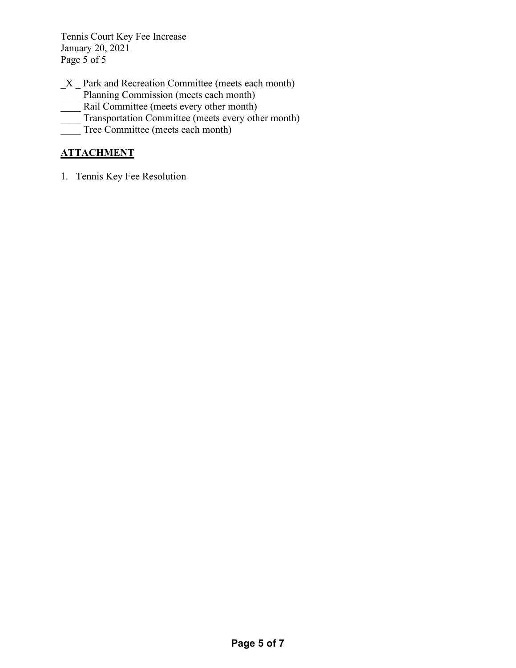Tennis Court Key Fee Increase January 20, 2021 Page 5 of 5

- $X$  Park and Recreation Committee (meets each month)
- Planning Commission (meets each month)
- Rail Committee (meets every other month)
- Transportation Committee (meets every other month)
- Tree Committee (meets each month)

## **ATTACHMENT**

1. Tennis Key Fee Resolution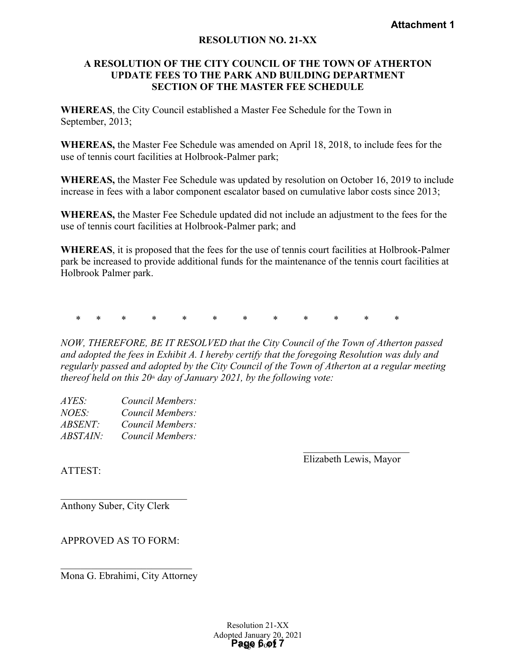### **RESOLUTION NO. 21-XX**

#### **A RESOLUTION OF THE CITY COUNCIL OF THE TOWN OF ATHERTON UPDATE FEES TO THE PARK AND BUILDING DEPARTMENT SECTION OF THE MASTER FEE SCHEDULE**

**WHEREAS**, the City Council established a Master Fee Schedule for the Town in September, 2013;

**WHEREAS,** the Master Fee Schedule was amended on April 18, 2018, to include fees for the use of tennis court facilities at Holbrook-Palmer park;

**WHEREAS,** the Master Fee Schedule was updated by resolution on October 16, 2019 to include increase in fees with a labor component escalator based on cumulative labor costs since 2013;

**WHEREAS,** the Master Fee Schedule updated did not include an adjustment to the fees for the use of tennis court facilities at Holbrook-Palmer park; and

**WHEREAS**, it is proposed that the fees for the use of tennis court facilities at Holbrook-Palmer park be increased to provide additional funds for the maintenance of the tennis court facilities at Holbrook Palmer park.

\* \* \* \* \* \* \* \* \* \* \* \*

*NOW, THEREFORE, BE IT RESOLVED that the City Council of the Town of Atherton passed and adopted the fees in Exhibit A. I hereby certify that the foregoing Resolution was duly and regularly passed and adopted by the City Council of the Town of Atherton at a regular meeting thereof held on this*  $20<sup>th</sup>$  *day of January 2021, by the following vote:* **Attachment 1**<br> **Attachment 1**<br> **ACOUNCIL OF THE TOWN OF ATHERTON**<br> **ARK AND BUILDING DEPARTMENT**<br> **E MASTER FEE SCHEDULE**<br> **A** Master Fee Schedule for the Town in<br> **a** smended on April 18, 2018, to include fees for the<br>

| AYES:           | Council Members: |
|-----------------|------------------|
| NOES:           | Council Members: |
| <i>ABSENT:</i>  | Council Members: |
| <i>ABSTAIN:</i> | Council Members: |

Elizabeth Lewis, Mayor

ATTEST:

\_\_\_\_\_\_\_\_\_\_\_\_\_\_\_\_\_\_\_\_\_\_\_\_\_ Anthony Suber, City Clerk

APPROVED AS TO FORM:

Mona G. Ebrahimi, City Attorney